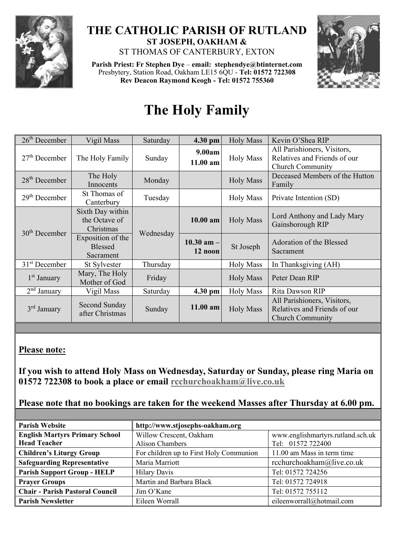

## **THE CATHOLIC PARISH OF RUTLAND ST JOSEPH, OAKHAM &**  ST THOMAS OF CANTERBURY, EXTON

**Parish Priest: Fr Stephen Dye** – **[email: stephendye@btinternet.com](mailto:email:%20%20stephendye@btinternet.com)** Presbytery, Station Road, Oakham LE15 6QU - **Tel: 01572 722308 Rev Deacon Raymond Keogh - Tel: 01572 755360**



## **The Holy Family**

| $26th$ December         | Vigil Mass                                       | Saturday  | 4.30 pm                    | <b>Holy Mass</b> | Kevin O'Shea RIP                                                                       |
|-------------------------|--------------------------------------------------|-----------|----------------------------|------------------|----------------------------------------------------------------------------------------|
| $27th$ December         | The Holy Family                                  | Sunday    | 9.00am<br>11.00 am         | <b>Holy Mass</b> | All Parishioners, Visitors,<br>Relatives and Friends of our<br><b>Church Community</b> |
| $28th$ December         | The Holy<br>Innocents                            | Monday    |                            | <b>Holy Mass</b> | Deceased Members of the Hutton<br>Family                                               |
| $29th$ December         | St Thomas of<br>Canterbury                       | Tuesday   |                            | <b>Holy Mass</b> | Private Intention (SD)                                                                 |
| $30th$ December         | Sixth Day within<br>the Octave of<br>Christmas   | Wednesday | $10.00$ am                 | <b>Holy Mass</b> | Lord Anthony and Lady Mary<br>Gainsborough RIP                                         |
|                         | Exposition of the<br><b>Blessed</b><br>Sacrament |           | $10.30$ am $-1$<br>12 noon | St Joseph        | Adoration of the Blessed<br>Sacrament                                                  |
| $31st$ December         | St Sylvester                                     | Thursday  |                            | <b>Holy Mass</b> | In Thanksgiving (AH)                                                                   |
| $1st$ January           | Mary, The Holy<br>Mother of God                  | Friday    |                            | <b>Holy Mass</b> | Peter Dean RIP                                                                         |
| $2nd$ January           | Vigil Mass                                       | Saturday  | 4.30 pm                    | <b>Holy Mass</b> | Rita Dawson RIP                                                                        |
| 3 <sup>rd</sup> January | Second Sunday<br>after Christmas                 | Sunday    | 11.00 am                   | <b>Holy Mass</b> | All Parishioners, Visitors,<br>Relatives and Friends of our<br><b>Church Community</b> |

## **Please note:**

**If you wish to attend Holy Mass on Wednesday, Saturday or Sunday, please ring Maria on 01572 722308 to book a place or email [rcchurchoakham@live.co.uk](mailto:rcchurchoakham@live.co.uk)** 

**Please note that no bookings are taken for the weekend Masses after Thursday at 6.00 pm.**

| <b>Parish Website</b>                                        | http://www.stjosephs-oakham.org                   |                                                        |  |  |
|--------------------------------------------------------------|---------------------------------------------------|--------------------------------------------------------|--|--|
| <b>English Martyrs Primary School</b><br><b>Head Teacher</b> | Willow Crescent, Oakham<br><b>Alison Chambers</b> | www.englishmartyrs.rutland.sch.uk<br>Tel: 01572 722400 |  |  |
| <b>Children's Liturgy Group</b>                              | For children up to First Holy Communion           | 11.00 am Mass in term time                             |  |  |
| <b>Safeguarding Representative</b>                           | Maria Marriott                                    | rcchurchoakham@live.co.uk                              |  |  |
| <b>Parish Support Group - HELP</b>                           | <b>Hilary Davis</b>                               | Tel: 01572 724256                                      |  |  |
| <b>Prayer Groups</b>                                         | Martin and Barbara Black                          | Tel: 01572 724918                                      |  |  |
| <b>Chair - Parish Pastoral Council</b>                       | Jim O'Kane                                        | Tel: 01572 755112                                      |  |  |
| <b>Parish Newsletter</b>                                     | Eileen Worrall                                    | eileenworrall@hotmail.com                              |  |  |